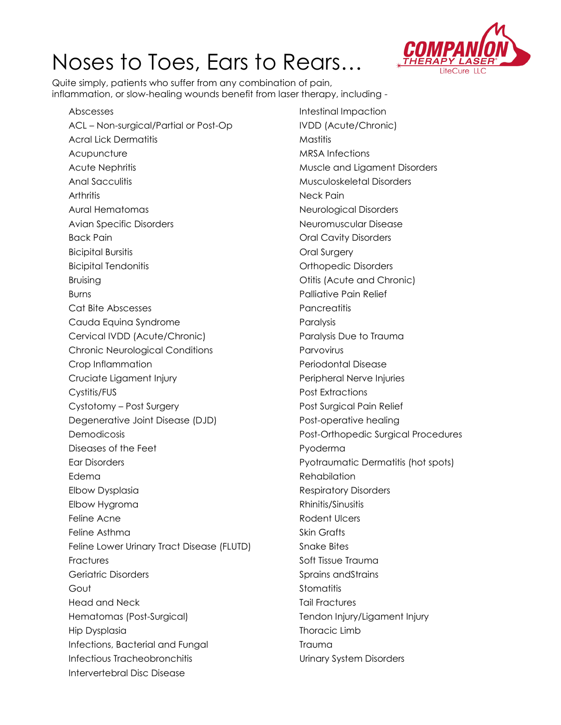## Noses to Toes, Ears to Rears…



Quite simply, patients who suffer from any combination of pain, inflammation, or slow-healing wounds benefit from laser therapy, including -

Abscesses ACL – Non-surgical/Partial or Post-Op Acral Lick Dermatitis **Acupuncture** Acute Nephritis Anal Sacculitis **Arthritis** Aural Hematomas Avian Specific Disorders Back Pain Bicipital Bursitis Bicipital Tendonitis Bruising Burns Cat Bite Abscesses Cauda Equina Syndrome Cervical IVDD (Acute/Chronic) Chronic Neurological Conditions Crop Inflammation Cruciate Ligament Injury Cystitis/FUS Cystotomy – Post Surgery Degenerative Joint Disease (DJD) Demodicosis Diseases of the Feet Ear Disorders Edema Elbow Dysplasia Elbow Hygroma Feline Acne Feline Asthma Feline Lower Urinary Tract Disease (FLUTD) **Fractures** Geriatric Disorders Gout Head and Neck Hematomas (Post-Surgical) Hip Dysplasia Infections, Bacterial and Fungal Infectious Tracheobronchitis Intervertebral Disc Disease

Intestinal Impaction IVDD (Acute/Chronic) Mastitis MRSA Infections Muscle and Ligament Disorders Musculoskeletal Disorders Neck Pain Neurological Disorders Neuromuscular Disease Oral Cavity Disorders Oral Surgery Orthopedic Disorders Otitis (Acute and Chronic) Palliative Pain Relief **Pancreatitis** Paralysis Paralysis Due to Trauma Parvovirus Periodontal Disease Peripheral Nerve Injuries Post Extractions Post Surgical Pain Relief Post-operative healing Post-Orthopedic Surgical Procedures Pyoderma Pyotraumatic Dermatitis (hot spots) Rehabilation Respiratory Disorders Rhinitis/Sinusitis Rodent Ulcers Skin Grafts Snake Bites Soft Tissue Trauma Sprains andStrains **Stomatitis** Tail Fractures Tendon Injury/Ligament Injury Thoracic Limb Trauma Urinary System Disorders